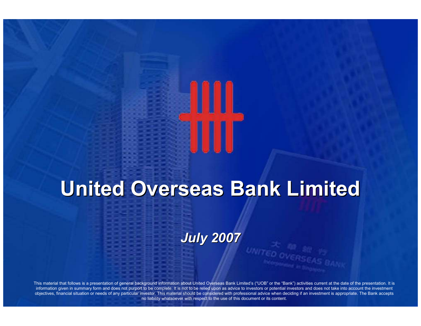

# United Overseas Bank Limited

July 2007

This material that follows is a presentation of general background information about United Overseas Bank Limited's ("UOB" or the "Bank") activities current at the date of the presentation. It is information given in summary form and does not purport to be complete. It is not to be relied upon as advice to investors or potential investors and does not take into account the investment objectives, financial situation or needs of any particular investor. This material should be considered with professional advice when deciding if an investment is appropriate. The Bank accepts no liability whatsoever with respect to the use of this document or its content.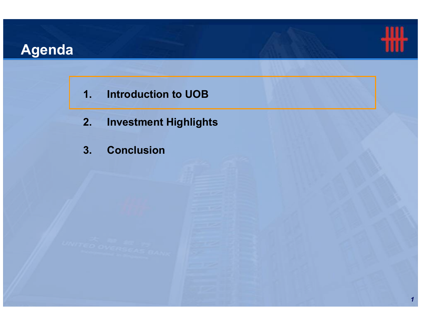# Agenda



- 1. Introduction to UOB
- 2. Investment Highlights
- 3. Conclusion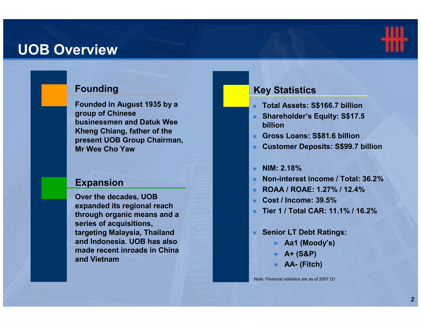### UOB Overview



#### Founding

Founded in August 1935 by a group of Chinese businessmen and Datuk Wee Kheng Chiang, father of the present UOB Group Chairman, Mr Wee Cho Yaw

#### Expansion

Over the decades, UOB expanded its regional reach through organic means and a series of acquisitions, targeting Malaysia, Thailand and Indonesia. UOB has also made recent inroads in China and Vietnam

#### Key Statistics

- Total Assets: S\$166.7 billion
- **Shareholder's Equity: S\$17.5** billion
- Gross Loans: S\$81.6 billion
- Customer Deposits: S\$99.7 billionн.
- ×. NIM: 2.18%
- Non-interest income / Total: 36.2<mark>%</mark> ٠
- . ROAA / ROAE: 1.27% / 12.4%
- . Cost / Income: 39.5%
- Tier 1 / Total CAR: 11.1% / 16.2% .
- a. Senior LT Debt Ratings:
	- ► Aa1 (Moody's)
	- $\blacktriangleright$  A+ (S&P)
	- ► AA- (Fitch)

Note: Financial statistics are as of 2007 Q1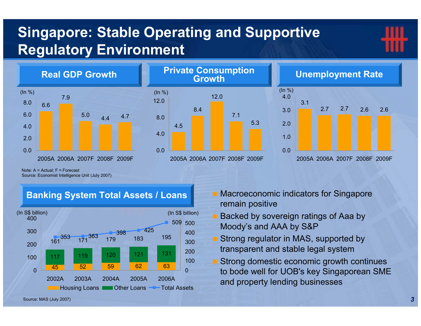# Singapore: Stable Operating and Supportive Regulatory Environment









Note: A = Actual; F = Forecast Source: Economist Intelligence Unit (July 2007)

#### Banking System Total Assets / Loans



- Macroeconomic indicators for Singapore remain positive
- Backed by sovereign ratings of Aaa by Moody's and AAA by S&P
- Strong regulator in MAS, supported by transparent and stable legal system
- Strong domestic economic growth continues to bode well for UOB's key Singaporean SME and property lending businesses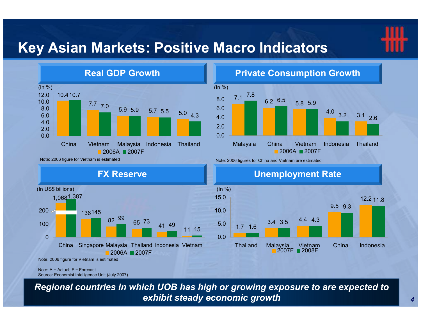## Key Asian Markets: Positive Macro Indicators



#### Private Consumption Growth



Note: 2006 figure for Vietnam is estimated









Note: 2006 figure for Vietnam is estimated

Note: A = Actual; F = ForecastSource: Economist Intelligence Unit (July 2007)

Regional countries in which UOB has high or growing exposure to are expected to exhibit steady economic growth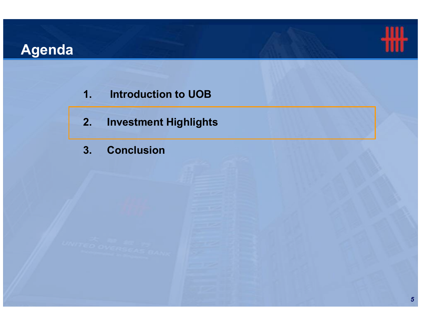# Agenda



- 1. Introduction to UOB
- 2. Investment Highlights
- 3. Conclusion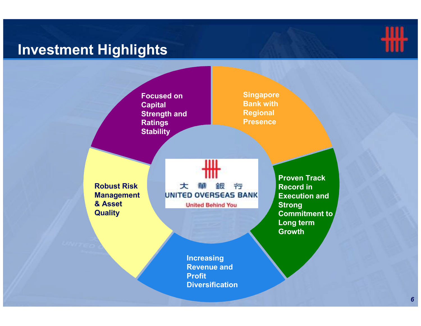## Investment Highlights



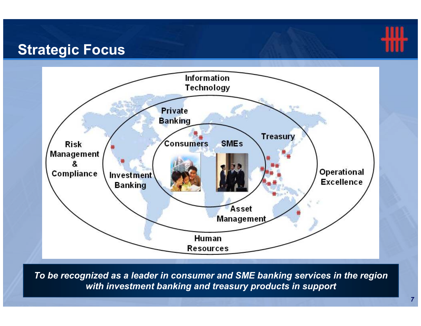## Strategic Focus



To be recognized as a leader in consumer and SME banking services in the region with investment banking and treasury products in support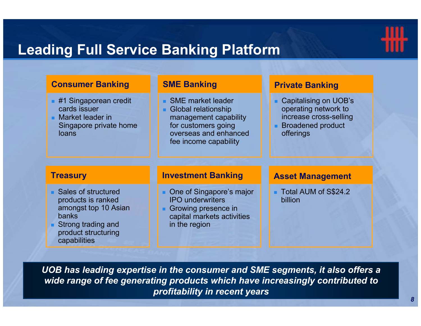

## Leading Full Service Banking Platform

| <b>Consumer Banking</b>                                                                                                                          | <b>SME Banking</b>                                                                                                                                       | <b>Private Banking</b>                                                                                           |
|--------------------------------------------------------------------------------------------------------------------------------------------------|----------------------------------------------------------------------------------------------------------------------------------------------------------|------------------------------------------------------------------------------------------------------------------|
| $\blacksquare$ #1 Singaporean credit<br>cards issuer<br>Market leader in<br>Singapore private home<br><b>loans</b>                               | <b>SME</b> market leader<br><b>Global relationship</b><br>management capability<br>for customers going<br>overseas and enhanced<br>fee income capability | Capitalising on UOB's<br>operating network to<br>increase cross-selling<br><b>Broadened product</b><br>offerings |
| <b>Treasury</b>                                                                                                                                  | <b>Investment Banking</b>                                                                                                                                | <b>Asset Management</b>                                                                                          |
| • Sales of structured<br>products is ranked<br>amongst top 10 Asian<br><b>banks</b><br>Strong trading and<br>product structuring<br>capabilities | • One of Singapore's major<br><b>IPO</b> underwriters<br>Growing presence in<br>capital markets activities<br>in the region                              | ■ Total AUM of S\$24.2<br>billion                                                                                |

UOB has leading expertise in the consumer and SME segments, it also offers a wide range of fee generating products which have increasingly contributed to profitability in recent years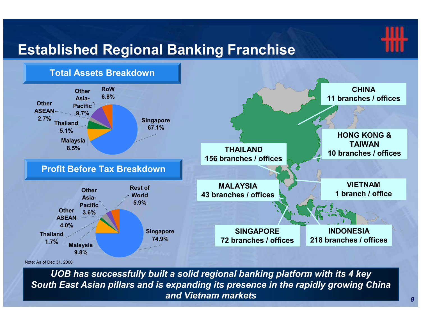# Established Regional Banking Franchise



Note: As of Dec 31, 2006

UOB has successfully built a solid regional banking platform with its 4 key South East Asian pillars and is expanding its presence in the rapidly growing China and Vietnam markets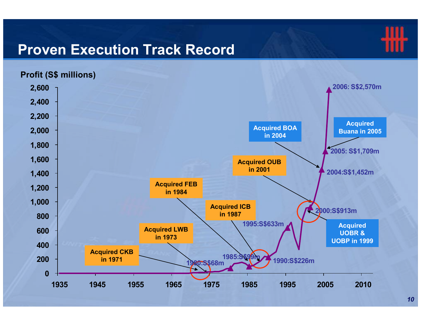### Proven Execution Track Record



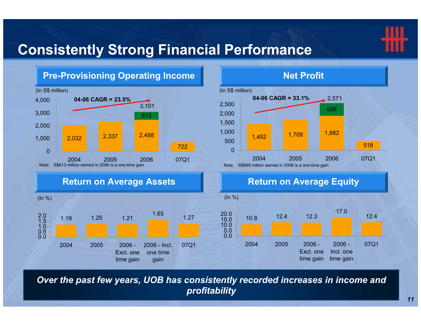

## Consistently Strong Financial Performance



Over the past few years, UOB has consistently recorded increases in income and profitability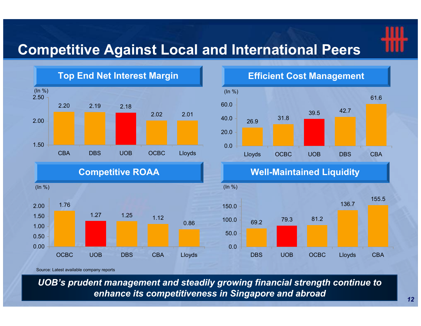## Competitive Against Local and International Peers



![](_page_12_Figure_3.jpeg)

OCBC UOB DBS CBA Lloyds

Efficient Cost Management

![](_page_12_Figure_5.jpeg)

Well-Maintained Liquidity

![](_page_12_Figure_7.jpeg)

Source: Latest available company reports

UOB's prudent management and steadily growing financial strength continue to enhance its competitiveness in Singapore and abroad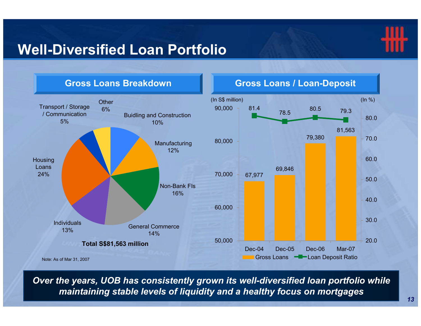## Well-Diversified Loan Portfolio

![](_page_13_Picture_1.jpeg)

![](_page_13_Figure_2.jpeg)

Over the years, UOB has consistently grown its well-diversified loan portfolio while maintaining stable levels of liquidity and a healthy focus on mortgages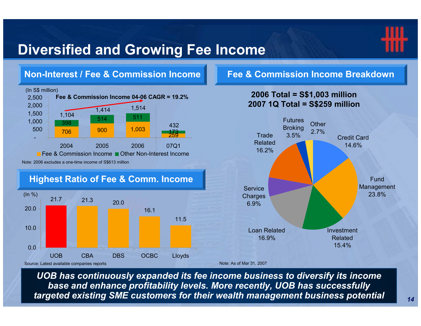## Diversified and Growing Fee Income

![](_page_14_Picture_1.jpeg)

![](_page_14_Figure_2.jpeg)

UOB has continuously expanded its fee income business to diversify its income base and enhance profitability levels. More recently, UOB has successfully targeted existing SME customers for their wealth management business potential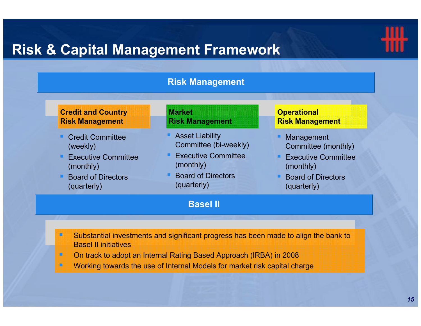## Risk & Capital Management Framework

![](_page_15_Picture_1.jpeg)

#### Risk Management

#### Credit and Country Risk Management

- Credit Committee (weekly)
- Executive Committee (monthly)
- - Board of Directors (quarterly)

#### **Market** Risk Management

- **Asset Liability** Committee (bi-weekly)
- Executive Committee (monthly)
- Board of Directors (quarterly)

#### Basel II

#### **Operational** Risk Management

- - Management Committee (monthly)
- **Executive Committee** (monthly)
- - Board of Directors (quarterly)

- - Substantial investments and significant progress has been made to align the bank to Basel II initiatives
- -On track to adopt an Internal Rating Based Approach (IRBA) in 2008
- Working towards the use of Internal Models for market risk capital charge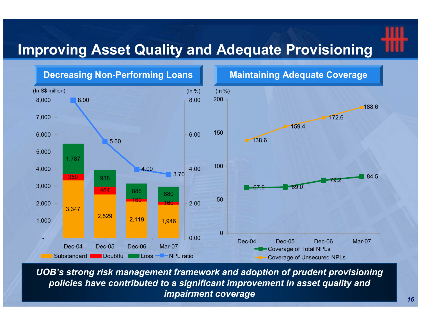## Improving Asset Quality and Adequate Provisioning

![](_page_16_Figure_1.jpeg)

UOB's strong risk management framework and adoption of prudent provisioning policies have contributed to a significant improvement in asset quality and impairment coverage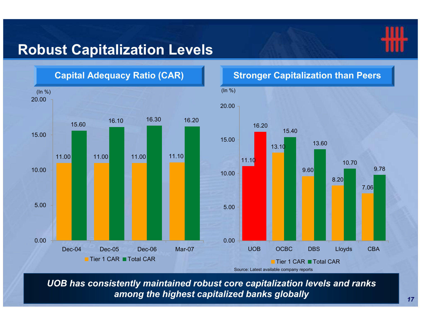![](_page_17_Picture_0.jpeg)

## Robust Capitalization Levels

![](_page_17_Figure_2.jpeg)

UOB has consistently maintained robust core capitalization levels and ranks among the highest capitalized banks globally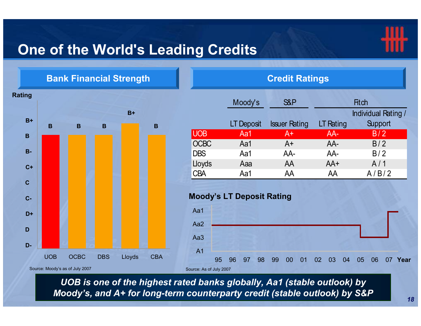## One of the World's Leading Credits

![](_page_18_Picture_1.jpeg)

![](_page_18_Figure_2.jpeg)

UOB is one of the highest rated banks globally, Aa1 (stable outlook) by Moody's, and A+ for long-term counterparty credit (stable outlook) by S&P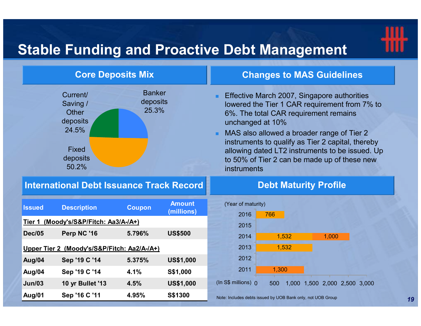# Stable Funding and Proactive Debt Management

![](_page_19_Picture_1.jpeg)

| <b>Core Deposits Mix</b>                                                                       |                                    | <b>Changes to MAS Guidelines</b>                                                                                                                                                                                                                                                                                                                                                 |
|------------------------------------------------------------------------------------------------|------------------------------------|----------------------------------------------------------------------------------------------------------------------------------------------------------------------------------------------------------------------------------------------------------------------------------------------------------------------------------------------------------------------------------|
| Current/<br>Saving /<br><b>Other</b><br>deposits<br>24.5%<br><b>Fixed</b><br>deposits<br>50.2% | <b>Banker</b><br>deposits<br>25.3% | Effective March 2007, Singapore authorities<br>lowered the Tier 1 CAR requirement from 7% to<br>6%. The total CAR requirement remains<br>unchanged at 10%<br>• MAS also allowed a broader range of Tier 2<br>instruments to qualify as Tier 2 capital, thereby<br>allowing dated LT2 instruments to be issued. Up<br>to 50% of Tier 2 can be made up of these new<br>instruments |

#### International Debt Issuance Track Record

### Year of maturity) Debt Maturity Profile

| <b>Issued</b>                               | <b>Description</b> | <b>Coupon</b> | <b>Amount</b><br>(millions) |        |  |
|---------------------------------------------|--------------------|---------------|-----------------------------|--------|--|
| (Moody's/S&P/Fitch: Aa3/A-/A+)<br>Tier 1    |                    |               |                             |        |  |
| <b>Dec/05</b>                               | Perp NC '16        | 5.796%        | <b>US\$500</b>              |        |  |
| Upper Tier 2 (Moody's/S&P/Fitch: Aa2/A-/A+) |                    |               |                             |        |  |
| Aug/04                                      | Sep '19 C '14      | 5.375%        | <b>US\$1,000</b>            |        |  |
| Aug/04                                      | Sep '19 C '14      | 4.1%          | S\$1,000                    |        |  |
| Jun/03                                      | 10 yr Bullet '13   | 4.5%          | <b>US\$1,000</b>            | (In S) |  |
| Aug/01                                      | Sep '16 C '11      | 4.95%         | S\$1300                     | Note:  |  |

![](_page_19_Figure_6.jpeg)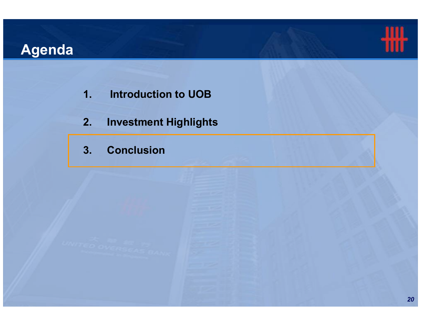# Agenda

![](_page_20_Picture_1.jpeg)

- 1. Introduction to UOB
- 2. Investment Highlights
- 3. Conclusion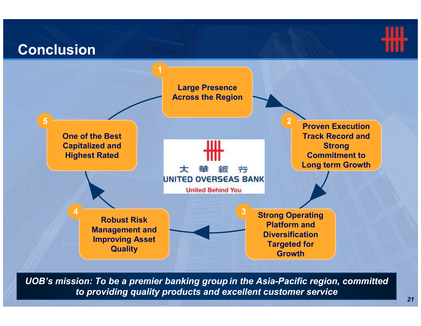#### Conclusion1Large Presence Across the Region52Proven Execution One of the Best Track Record and Capitalized and Strong Highest RatedCommitment to Long term Growth命 ᆂ 亐 **UNITED OVERSEAS BANK United Behind You**  $\frac{4}{2}$  Behuat Biek 4Strong Operating Robust Risk Platform and Management and **Diversification** Improving Asset Targeted for **Quality Growth**

UOB's mission: To be a premier banking group in the Asia-Pacific region, committed to providing quality products and excellent customer service